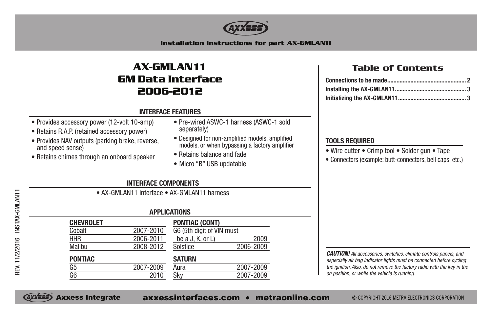

**Installation instructions for part AX-GMLAN11**

## **AX-GMLAN11 GM Data Interface 2006-2012**

#### **INTERFACE FEATURES**

- Provides accessory power (12-volt 10-amp)
- Retains R.A.P. (retained accessory power)
- Provides NAV outputs (parking brake, reverse, and speed sense)
- Retains chimes through an onboard speaker
- Pre-wired ASWC-1 harness (ASWC-1 sold separately)
- Designed for non-amplified models, amplified models, or when bypassing a factory amplifier
- Retains balance and fade
- Micro "B" USB updatable

### **Table of Contents**

### **TOOLS REQUIRED**

- Wire cutter Crimp tool Solder gun Tape
- Connectors (example: butt-connectors, bell caps, etc.)

### **INTERFACE COMPONENTS**

• AX-GMLAN11 interface • AX-GMLAN11 harness

#### **APPLICATIONS**

| <b>CHEVROLET</b> |           | <b>PONTIAC (CONT)</b>     |           |
|------------------|-----------|---------------------------|-----------|
| Cobalt           | 2007-2010 | G6 (5th digit of VIN must |           |
| <b>HHR</b>       | 2006-2011 | be a J, K, or $L$ )       | 2009      |
| Malibu           | 2008-2012 | Solstice                  | 2006-2009 |
| <b>PONTIAC</b>   |           | <b>SATURN</b>             |           |
| G5               | 2007-2009 | Aura                      | 2007-2009 |
| G6               | 2010      | Sky                       | 2007-2009 |
|                  |           |                           |           |

*CAUTION! All accessories, switches, climate controls panels, and especially air bag indicator lights must be connected before cycling the ignition. Also, do not remove the factory radio with the key in the on position, or while the vehicle is running.*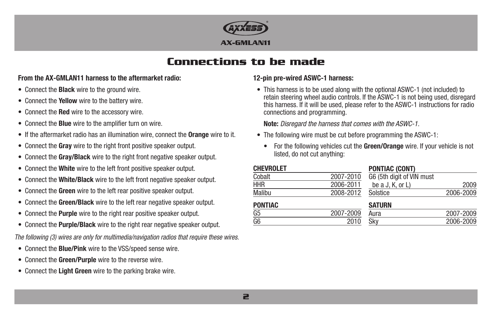

## **Connections to be made**

#### **From the AX-GMLAN11 harness to the aftermarket radio:**

- Connect the **Black** wire to the ground wire.
- Connect the **Yellow** wire to the battery wire.
- Connect the **Red** wire to the accessory wire.
- Connect the **Blue** wire to the amplifier turn on wire.
- If the aftermarket radio has an illumination wire, connect the **Orange** wire to it.
- Connect the **Gray** wire to the right front positive speaker output.
- Connect the **Gray/Black** wire to the right front negative speaker output.
- Connect the **White** wire to the left front positive speaker output.
- Connect the **White/Black** wire to the left front negative speaker output.
- Connect the **Green** wire to the left rear positive speaker output.
- Connect the **Green/Black** wire to the left rear negative speaker output.
- Connect the **Purple** wire to the right rear positive speaker output.
- Connect the **Purple/Black** wire to the right rear negative speaker output.
- *The following (3) wires are only for multimedia/navigation radios that require these wires.*
- Connect the **Blue/Pink** wire to the VSS/speed sense wire.
- Connect the **Green/Purple** wire to the reverse wire.
- Connect the **Light Green** wire to the parking brake wire.

### **12-pin pre-wired ASWC-1 harness:**

• This harness is to be used along with the optional ASWC-1 (not included) to retain steering wheel audio controls. If the ASWC-1 is not being used, disregard this harness. If it will be used, please refer to the ASWC-1 instructions for radio connections and programming.

**Note:** *Disregard the harness that comes with the ASWC-1.*

- The following wire must be cut before programming the ASWC-1:
	- For the following vehicles cut the **Green/Orange** wire. If your vehicle is not listed, do not cut anything:

| <b>CHEVROLET</b> |           | <b>PONTIAC (CONT)</b>     |           |
|------------------|-----------|---------------------------|-----------|
| Cobalt           | 2007-2010 | G6 (5th digit of VIN must |           |
| <b>HHR</b>       | 2006-2011 | be a J, K, or $L$ )       | 2009      |
| <b>Malibu</b>    | 2008-2012 | Solstice                  | 2006-2009 |
| <b>PONTIAC</b>   |           | <b>SATURN</b>             |           |
| G5               | 2007-2009 | Aura                      | 2007-2009 |
| G6               | 2010      | Sky                       | 2006-2009 |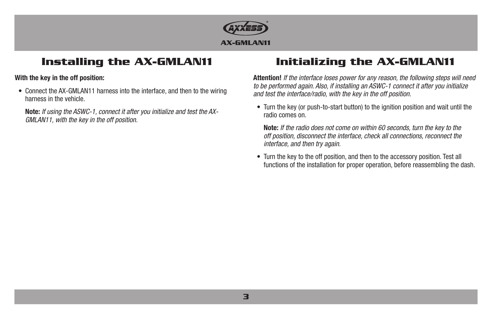

# **Installing the AX-GMLAN11**

#### **With the key in the off position:**

• Connect the AX-GMLAN11 harness into the interface, and then to the wiring harness in the vehicle.

**Note:** *If using the ASWC-1, connect it after you initialize and test the AX-GMLAN11, with the key in the off position.*

# **Initializing the AX-GMLAN11**

**Attention!** *If the interface loses power for any reason, the following steps will need to be performed again. Also, if installing an ASWC-1 connect it after you initialize and test the interface/radio, with the key in the off position.*

• Turn the key (or push-to-start button) to the ignition position and wait until the radio comes on.

**Note:** *If the radio does not come on within 60 seconds, turn the key to the off position, disconnect the interface, check all connections, reconnect the interface, and then try again.*

• Turn the key to the off position, and then to the accessory position. Test all functions of the installation for proper operation, before reassembling the dash.